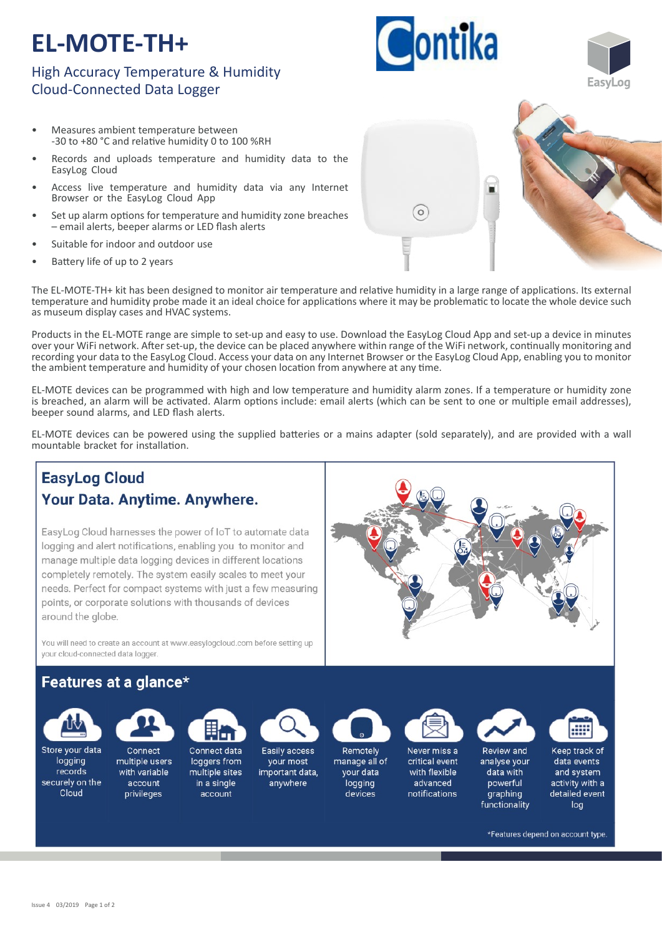# **EL-MOTE-TH+**

## High Accuracy Temperature & Humidity Cloud-Connected Data Logger

- Measures ambient temperature between -30 to +80 °C and relative humidity 0 to 100 %RH
- Records and uploads temperature and humidity data to the EasyLog Cloud
- Access live temperature and humidity data via any Internet Browser or the EasyLog Cloud App
- Set up alarm options for temperature and humidity zone breaches – email alerts, beeper alarms or LED flash alerts
- Suitable for indoor and outdoor use
- Battery life of up to 2 years

The EL-MOTE-TH+ kit has been designed to monitor air temperature and relative humidity in a large range of applications. Its external temperature and humidity probe made it an ideal choice for applications where it may be problematic to locate the whole device such as museum display cases and HVAC systems.

Products in the EL-MOTE range are simple to set-up and easy to use. Download the EasyLog Cloud App and set-up a device in minutes over your WiFi network. After set-up, the device can be placed anywhere within range of the WiFi network, continually monitoring and recording your data to the EasyLog Cloud. Access your data on any Internet Browser or the EasyLog Cloud App, enabling you to monitor the ambient temperature and humidity of your chosen location from anywhere at any time.

EL‐MOTE devices can be programmed with high and low temperature and humidity alarm zones. If a temperature or humidity zone is breached, an alarm will be activated. Alarm options include: email alerts (which can be sent to one or multiple email addresses), beeper sound alarms, and LED flash alerts.

EL-MOTE devices can be powered using the supplied batteries or a mains adapter (sold separately), and are provided with a wall mountable bracket for installation.



 $\circ$ 

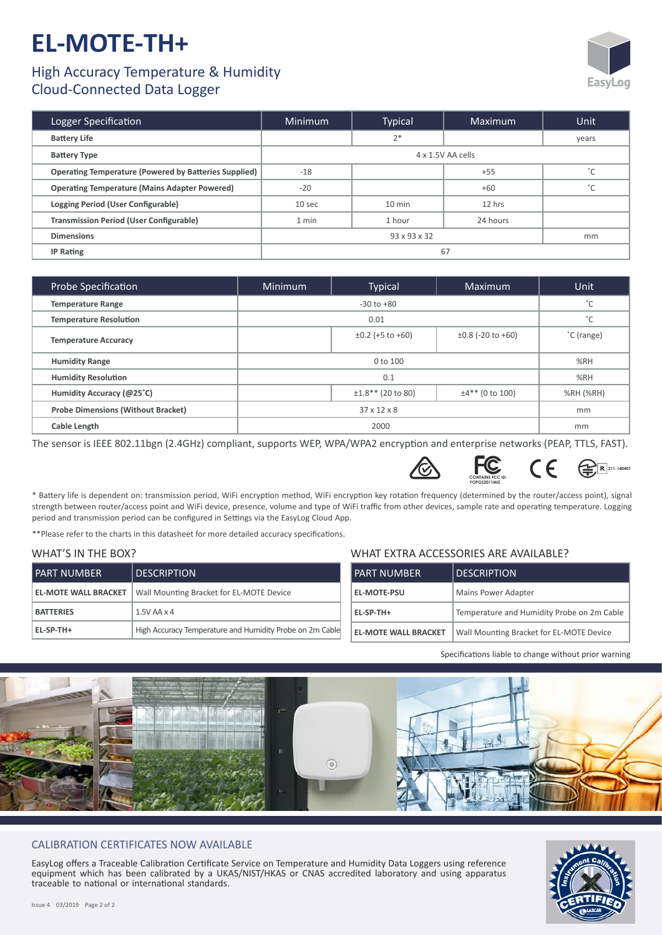# **EL-MOTE-TH+**

### High Accuracy Temperature & Humidity Cloud-Connected Data Logger



| Logger Specification                                         | <b>Minimum</b>     | <b>Typical</b>   | Maximum  | <b>Unit</b>   |
|--------------------------------------------------------------|--------------------|------------------|----------|---------------|
| <b>Battery Life</b>                                          |                    | $2*$             |          | years         |
| <b>Battery Type</b>                                          | 4 x 1.5V AA cells  |                  |          |               |
| <b>Operating Temperature (Powered by Batteries Supplied)</b> | $-18$              |                  | $+55$    | $\mathcal{L}$ |
| <b>Operating Temperature (Mains Adapter Powered)</b>         | $-20$              |                  | $+60$    | $\circ$       |
| Logging Period (User Configurable)                           | 10 sec             | $10 \text{ min}$ | 12 hrs   |               |
| <b>Transmission Period (User Configurable)</b>               | 1 min              | 1 hour           | 24 hours |               |
| <b>Dimensions</b>                                            | 93 x 93 x 32<br>mm |                  |          |               |
| <b>IP Rating</b>                                             | 67                 |                  |          |               |

| Probe Specification                       | Minimum        | <b>Typical</b>          | Maximum                | Unit       |
|-------------------------------------------|----------------|-------------------------|------------------------|------------|
| <b>Temperature Range</b>                  | $-30$ to $+80$ |                         | $\hat{ }$              |            |
| <b>Temperature Resolution</b>             | 0.01           |                         | °С                     |            |
| <b>Temperature Accuracy</b>               |                | $\pm 0.2$ (+5 to +60)   | $\pm 0.8$ (-20 to +60) | °C (range) |
| <b>Humidity Range</b>                     | 0 to 100       |                         | %RH                    |            |
| <b>Humidity Resolution</b>                | 0.1            |                         | %RH                    |            |
| Humidity Accuracy (@25°C)                 |                | $\pm 1.8$ ** (20 to 80) | $±4**$ (0 to 100)      | %RH (%RH)  |
| <b>Probe Dimensions (Without Bracket)</b> |                | $37 \times 12 \times 8$ |                        | mm         |
| Cable Length                              | 2000           |                         |                        | mm         |

The sensor is IEEE 802.11bgn (2.4GHz) compliant, supports WEP, WPA/WPA2 encryption and enterprise networks (PEAP, TTLS, FAST).





\* Battery life is dependent on: transmission period, WiFi encryption method, WiFi encryption key rotation frequency (determined by the router/access point), signal strength between router/access point and WiFi device, presence, volume and type of WiFi traffic from other devices, sample rate and operating temperature. Logging period and transmission period can be configured in Settings via the EasyLog Cloud App.

\*\*Please refer to the charts in this datasheet for more detailed accuracy specifications.

#### WHAT'S IN THE BOX?

| I PART NUMBER               | <b>DESCRIPTION</b>                                       | <b>PART NUMBER</b>          |
|-----------------------------|----------------------------------------------------------|-----------------------------|
| <b>EL-MOTE WALL BRACKET</b> | Wall Mounting Bracket for EL-MOTE Device                 | <b>EL-MOTE-PSU</b>          |
| <b>BATTERIES</b>            | $1.5V$ AA $\times$ 4                                     | EL-SP-TH+                   |
| EL-SP-TH+                   | High Accuracy Temperature and Humidity Probe on 2m Cable | <b>EL-MOTE WALL BRACKET</b> |

#### WHAT EXTRA ACCESSORIES ARE AVAILABLE?

| <b>PART NUMBER</b>          | <b>DESCRIPTION</b>                         |  |
|-----------------------------|--------------------------------------------|--|
| <b>EL-MOTE-PSU</b>          | Mains Power Adapter                        |  |
| EL-SP-TH+                   | Temperature and Humidity Probe on 2m Cable |  |
| <b>EL-MOTE WALL BRACKET</b> | Wall Mounting Bracket for EL-MOTE Device   |  |

Specifications liable to change without prior warning



#### CALIBRATION CERTIFICATES NOW AVAILABLE

EasyLog offers a Traceable Calibration Certificate Service on Temperature and Humidity Data Loggers using reference equipment which has been calibrated by a UKAS/NIST/HKAS or CNAS accredited laboratory and using apparatus traceable to national or international standards.